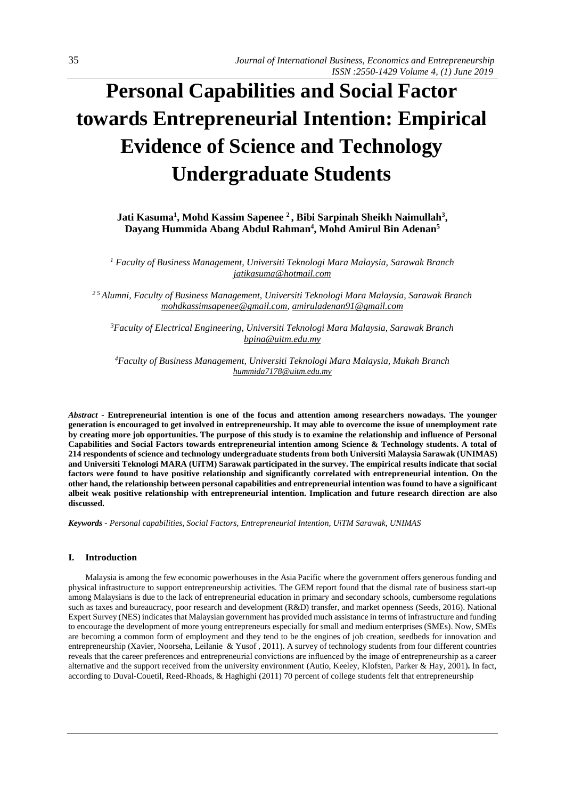# **Personal Capabilities and Social Factor towards Entrepreneurial Intention: Empirical Evidence of Science and Technology Undergraduate Students**

**Jati Kasuma<sup>1</sup> , Mohd Kassim Sapenee <sup>2</sup>, Bibi Sarpinah Sheikh Naimullah<sup>3</sup> , Dayang Hummida Abang Abdul Rahman<sup>4</sup> , Mohd Amirul Bin Adenan<sup>5</sup>**

*<sup>1</sup> Faculty of Business Management, Universiti Teknologi Mara Malaysia, Sarawak Branch [jatikasuma@hotmail.com](mailto:jatikasuma@hotmail.com)*

*2 5 Alumni, Faculty of Business Management, Universiti Teknologi Mara Malaysia, Sarawak Branch [mohdkassimsapenee@gmail.com,](mailto:mohdkassimsapenee@gmail.com) [amiruladenan91@gmail.com](mailto:amiruladenan91@gmail.com)*

*<sup>3</sup>Faculty of Electrical Engineering, Universiti Teknologi Mara Malaysia, Sarawak Branch [bpina@uitm.edu.my](mailto:bpina@uitm.edu.my)*

*<sup>4</sup>Faculty of Business Management, Universiti Teknologi Mara Malaysia, Mukah Branch [hummida7178@uitm.edu.my](mailto:hummida7178@uitm.edu.my)*

*Abstract* **- Entrepreneurial intention is one of the focus and attention among researchers nowadays. The younger generation is encouraged to get involved in entrepreneurship. It may able to overcome the issue of unemployment rate by creating more job opportunities. The purpose of this study is to examine the relationship and influence of Personal Capabilities and Social Factors towards entrepreneurial intention among Science & Technology students. A total of 214 respondents of science and technology undergraduate students from both Universiti Malaysia Sarawak (UNIMAS) and Universiti Teknologi MARA (UiTM) Sarawak participated in the survey. The empirical results indicate that social factors were found to have positive relationship and significantly correlated with entrepreneurial intention. On the other hand, the relationship between personal capabilities and entrepreneurial intention was found to have a significant albeit weak positive relationship with entrepreneurial intention. Implication and future research direction are also discussed.**

*Keywords - Personal capabilities, Social Factors, Entrepreneurial Intention, UiTM Sarawak, UNIMAS*

# **I. Introduction**

Malaysia is among the few economic powerhouses in the Asia Pacific where the government offers generous funding and physical infrastructure to support entrepreneurship activities. The GEM report found that the dismal rate of business start-up among Malaysians is due to the lack of entrepreneurial education in primary and secondary schools, cumbersome regulations such as taxes and bureaucracy, poor research and development (R&D) transfer, and market openness (Seeds, 2016). National Expert Survey (NES) indicates that Malaysian government has provided much assistance in terms of infrastructure and funding to encourage the development of more young entrepreneurs especially for small and medium enterprises (SMEs). Now, SMEs are becoming a common form of employment and they tend to be the engines of job creation, seedbeds for innovation and entrepreneurship (Xavier, Noorseha, Leilanie & Yusof , 2011). A survey of technology students from four different countries reveals that the career preferences and entrepreneurial convictions are influenced by the image of entrepreneurship as a career alternative and the support received from the university environment (Autio, Keeley, Klofsten, Parker & Hay*,* 2001)**.** In fact, according to Duval-Couetil, Reed-Rhoads, & Haghighi (2011) 70 percent of college students felt that entrepreneurship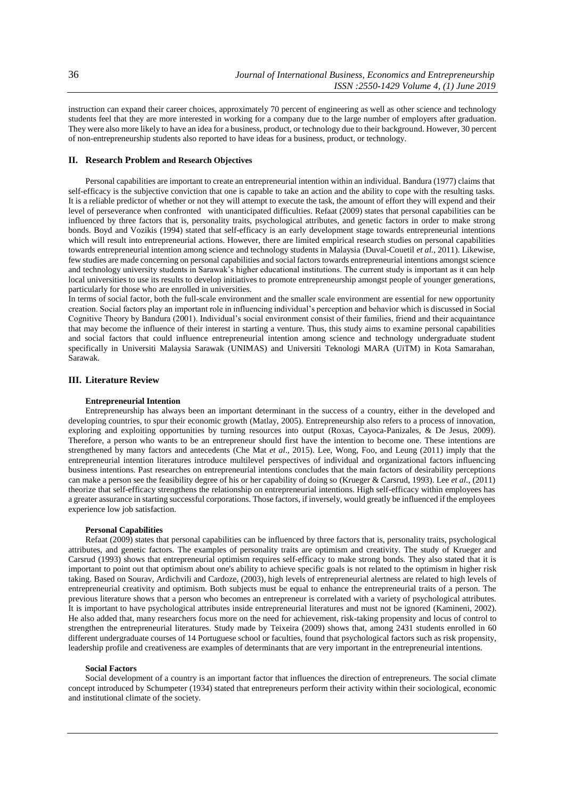instruction can expand their career choices, approximately 70 percent of engineering as well as other science and technology students feel that they are more interested in working for a company due to the large number of employers after graduation. They were also more likely to have an idea for a business, product, or technology due to their background. However, 30 percent of non-entrepreneurship students also reported to have ideas for a business, product, or technology.

# **II. Research Problem and Research Objectives**

Personal capabilities are important to create an entrepreneurial intention within an individual. Bandura (1977) claims that self-efficacy is the subjective conviction that one is capable to take an action and the ability to cope with the resulting tasks. It is a reliable predictor of whether or not they will attempt to execute the task, the amount of effort they will expend and their level of perseverance when confronted with unanticipated difficulties. Refaat (2009) states that personal capabilities can be influenced by three factors that is, personality traits, psychological attributes, and genetic factors in order to make strong bonds. Boyd and Vozikis (1994) stated that self-efficacy is an early development stage towards entrepreneurial intentions which will result into entrepreneurial actions. However, there are limited empirical research studies on personal capabilities towards entrepreneurial intention among science and technology students in Malaysia (Duval-Couetil *et al.,* 2011). Likewise, few studies are made concerning on personal capabilities and social factors towards entrepreneurial intentions amongst science and technology university students in Sarawak's higher educational institutions. The current study is important as it can help local universities to use its results to develop initiatives to promote entrepreneurship amongst people of younger generations, particularly for those who are enrolled in universities.

In terms of social factor, both the full-scale environment and the smaller scale environment are essential for new opportunity creation. Social factors play an important role in influencing individual's perception and behavior which is discussed in Social Cognitive Theory by Bandura (2001). Individual's social environment consist of their families, friend and their acquaintance that may become the influence of their interest in starting a venture. Thus, this study aims to examine personal capabilities and social factors that could influence entrepreneurial intention among science and technology undergraduate student specifically in Universiti Malaysia Sarawak (UNIMAS) and Universiti Teknologi MARA (UiTM) in Kota Samarahan, Sarawak.

## **III. Literature Review**

## **Entrepreneurial Intention**

Entrepreneurship has always been an important determinant in the success of a country, either in the developed and developing countries, to spur their economic growth (Matlay, 2005). Entrepreneurship also refers to a process of innovation, exploring and exploiting opportunities by turning resources into output (Roxas, Cayoca-Panizales, & De Jesus, 2009). Therefore, a person who wants to be an entrepreneur should first have the intention to become one. These intentions are strengthened by many factors and antecedents (Che Mat *et al*., 2015). Lee, Wong, Foo, and Leung (2011) imply that the entrepreneurial intention literatures introduce multilevel perspectives of individual and organizational factors influencing business intentions. Past researches on entrepreneurial intentions concludes that the main factors of desirability perceptions can make a person see the feasibility degree of his or her capability of doing so (Krueger & Carsrud, 1993). Lee *et al.*, (2011) theorize that self-efficacy strengthens the relationship on entrepreneurial intentions. High self-efficacy within employees has a greater assurance in starting successful corporations. Those factors, if inversely, would greatly be influenced if the employees experience low job satisfaction.

#### **Personal Capabilities**

Refaat (2009) states that personal capabilities can be influenced by three factors that is, personality traits, psychological attributes, and genetic factors. The examples of personality traits are optimism and creativity. The study of Krueger and Carsrud (1993) shows that entrepreneurial optimism requires self-efficacy to make strong bonds. They also stated that it is important to point out that optimism about one's ability to achieve specific goals is not related to the optimism in higher risk taking. Based on Sourav, Ardichvili and Cardoze, (2003), high levels of entrepreneurial alertness are related to high levels of entrepreneurial creativity and optimism. Both subjects must be equal to enhance the entrepreneurial traits of a person. The previous literature shows that a person who becomes an entrepreneur is correlated with a variety of psychological attributes. It is important to have psychological attributes inside entrepreneurial literatures and must not be ignored (Kamineni, 2002). He also added that, many researchers focus more on the need for achievement, risk-taking propensity and locus of control to strengthen the entrepreneurial literatures. Study made by Teixeira (2009) shows that, among 2431 students enrolled in 60 different undergraduate courses of 14 Portuguese school or faculties, found that psychological factors such as risk propensity, leadership profile and creativeness are examples of determinants that are very important in the entrepreneurial intentions.

## **Social Factors**

Social development of a country is an important factor that influences the direction of entrepreneurs. The social climate concept introduced by Schumpeter (1934) stated that entrepreneurs perform their activity within their sociological, economic and institutional climate of the society.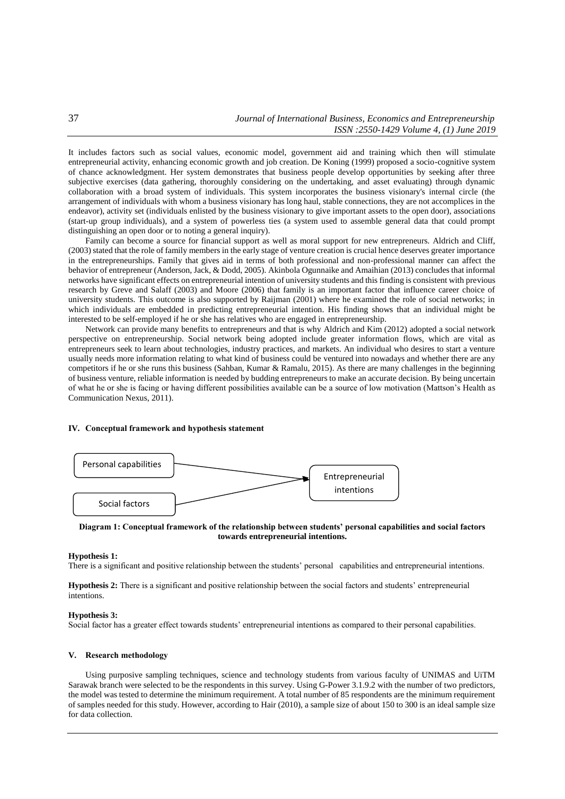It includes factors such as social values, economic model, government aid and training which then will stimulate entrepreneurial activity, enhancing economic growth and job creation. De Koning (1999) proposed a socio-cognitive system of chance acknowledgment. Her system demonstrates that business people develop opportunities by seeking after three subjective exercises (data gathering, thoroughly considering on the undertaking, and asset evaluating) through dynamic collaboration with a broad system of individuals. This system incorporates the business visionary's internal circle (the arrangement of individuals with whom a business visionary has long haul, stable connections, they are not accomplices in the endeavor), activity set (individuals enlisted by the business visionary to give important assets to the open door), associations (start-up group individuals), and a system of powerless ties (a system used to assemble general data that could prompt distinguishing an open door or to noting a general inquiry).

Family can become a source for financial support as well as moral support for new entrepreneurs. Aldrich and Cliff, (2003) stated that the role of family members in the early stage of venture creation is crucial hence deserves greater importance in the entrepreneurships. Family that gives aid in terms of both professional and non-professional manner can affect the behavior of entrepreneur (Anderson, Jack, & Dodd, 2005). Akinbola Ogunnaike and Amaihian (2013) concludes that informal networks have significant effects on entrepreneurial intention of university students and this finding is consistent with previous research by Greve and Salaff (2003) and Moore (2006) that family is an important factor that influence career choice of university students. This outcome is also supported by Raijman (2001) where he examined the role of social networks; in which individuals are embedded in predicting entrepreneurial intention. His finding shows that an individual might be interested to be self-employed if he or she has relatives who are engaged in entrepreneurship.

Network can provide many benefits to entrepreneurs and that is why Aldrich and Kim (2012) adopted a social network perspective on entrepreneurship. Social network being adopted include greater information flows, which are vital as entrepreneurs seek to learn about technologies, industry practices, and markets. An individual who desires to start a venture usually needs more information relating to what kind of business could be ventured into nowadays and whether there are any competitors if he or she runs this business (Sahban, Kumar & Ramalu, 2015). As there are many challenges in the beginning of business venture, reliable information is needed by budding entrepreneurs to make an accurate decision. By being uncertain of what he or she is facing or having different possibilities available can be a source of low motivation (Mattson's Health as Communication Nexus, 2011).

## **IV. Conceptual framework and hypothesis statement**



**Diagram 1: Conceptual framework of the relationship between students' personal capabilities and social factors towards entrepreneurial intentions.**

## **Hypothesis 1:**

There is a significant and positive relationship between the students' personal capabilities and entrepreneurial intentions.

**Hypothesis 2:** There is a significant and positive relationship between the social factors and students' entrepreneurial intentions.

#### **Hypothesis 3:**

Social factor has a greater effect towards students' entrepreneurial intentions as compared to their personal capabilities.

## **V. Research methodology**

Using purposive sampling techniques, science and technology students from various faculty of UNIMAS and UiTM Sarawak branch were selected to be the respondents in this survey. Using G-Power 3.1.9.2 with the number of two predictors, the model was tested to determine the minimum requirement. A total number of 85 respondents are the minimum requirement of samples needed for this study. However, according to Hair (2010), a sample size of about 150 to 300 is an ideal sample size for data collection.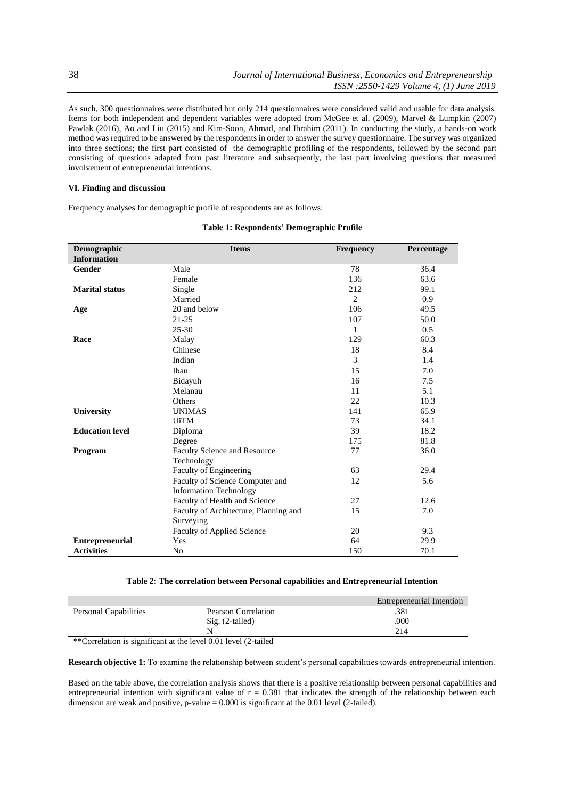As such, 300 questionnaires were distributed but only 214 questionnaires were considered valid and usable for data analysis. Items for both independent and dependent variables were adopted from McGee et al. (2009), Marvel & Lumpkin (2007) Pawlak (2016), Ao and Liu (2015) and Kim-Soon, Ahmad, and Ibrahim (2011). In conducting the study, a hands-on work method was required to be answered by the respondents in order to answer the survey questionnaire. The survey was organized into three sections; the first part consisted of the demographic profiling of the respondents, followed by the second part consisting of questions adapted from past literature and subsequently, the last part involving questions that measured involvement of entrepreneurial intentions.

## **VI. Finding and discussion**

Frequency analyses for demographic profile of respondents are as follows:

| Demographic            | <b>Items</b>                          | <b>Frequency</b> | Percentage |
|------------------------|---------------------------------------|------------------|------------|
| <b>Information</b>     |                                       |                  |            |
| <b>Gender</b>          | Male                                  | 78               | 36.4       |
|                        | Female                                | 136              | 63.6       |
| <b>Marital status</b>  | Single                                | 212              | 99.1       |
|                        | Married                               | $\mathfrak{D}$   | 0.9        |
| Age                    | 20 and below                          | 106              | 49.5       |
|                        | $21 - 25$                             | 107              | 50.0       |
|                        | $25 - 30$                             | $\mathbf{1}$     | 0.5        |
| Race                   | Malay                                 | 129              | 60.3       |
|                        | Chinese                               | 18               | 8.4        |
|                        | Indian                                | 3                | 1.4        |
|                        | Iban                                  | 15               | 7.0        |
|                        | Bidayuh                               | 16               | 7.5        |
|                        | Melanau                               | 11               | 5.1        |
|                        | Others                                | 22               | 10.3       |
| <b>University</b>      | <b>UNIMAS</b>                         | 141              | 65.9       |
|                        | <b>UiTM</b>                           | 73               | 34.1       |
| <b>Education level</b> | Diploma                               | 39               | 18.2       |
|                        | Degree                                | 175              | 81.8       |
| Program                | Faculty Science and Resource          | 77               | 36.0       |
|                        | Technology                            |                  |            |
|                        | Faculty of Engineering                | 63               | 29.4       |
|                        | Faculty of Science Computer and       | 12               | 5.6        |
|                        | <b>Information Technology</b>         |                  |            |
|                        | Faculty of Health and Science         | 27               | 12.6       |
|                        | Faculty of Architecture, Planning and | 15               | 7.0        |
|                        | Surveying                             |                  |            |
|                        | <b>Faculty of Applied Science</b>     | 20               | 9.3        |
| <b>Entrepreneurial</b> | Yes                                   | 64               | 29.9       |
| <b>Activities</b>      | No                                    | 150              | 70.1       |

## **Table 1: Respondents' Demographic Profile**

# **Table 2: The correlation between Personal capabilities and Entrepreneurial Intention**

|                              |                     | Entrepreneurial Intention |
|------------------------------|---------------------|---------------------------|
| <b>Personal Capabilities</b> | Pearson Correlation | .381                      |
|                              | $Sig. (2-tailed)$   | .000                      |
|                              |                     | 214                       |
| $\sim$ $\sim$ $\sim$         |                     |                           |

\*\*Correlation is significant at the level 0.01 level (2-tailed

**Research objective 1:** To examine the relationship between student's personal capabilities towards entrepreneurial intention.

Based on the table above, the correlation analysis shows that there is a positive relationship between personal capabilities and entrepreneurial intention with significant value of  $r = 0.381$  that indicates the strength of the relationship between each dimension are weak and positive,  $p$ -value = 0.000 is significant at the 0.01 level (2-tailed).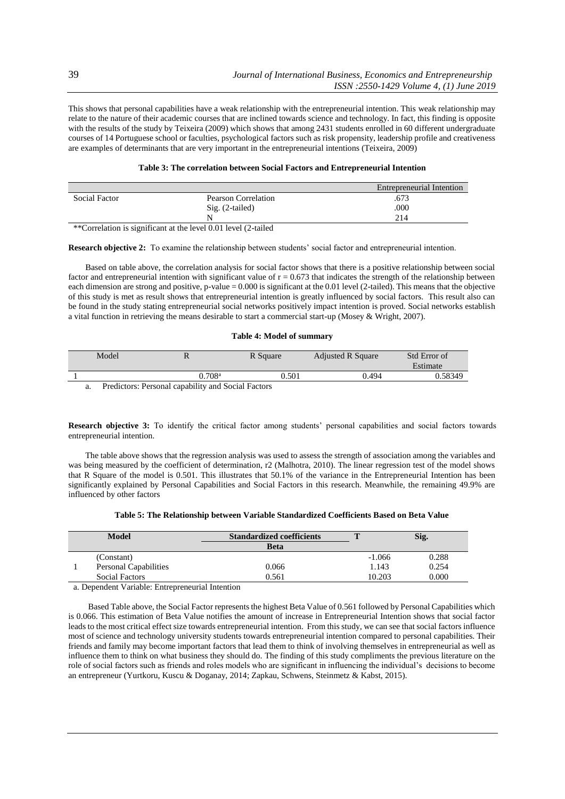This shows that personal capabilities have a weak relationship with the entrepreneurial intention. This weak relationship may relate to the nature of their academic courses that are inclined towards science and technology. In fact, this finding is opposite with the results of the study by Teixeira (2009) which shows that among 2431 students enrolled in 60 different undergraduate courses of 14 Portuguese school or faculties, psychological factors such as risk propensity, leadership profile and creativeness are examples of determinants that are very important in the entrepreneurial intentions (Teixeira, 2009)

| Table 3: The correlation between Social Factors and Entrepreneurial Intention |  |  |  |  |
|-------------------------------------------------------------------------------|--|--|--|--|
|-------------------------------------------------------------------------------|--|--|--|--|

|               |                                                                         | Entrepreneurial Intention |
|---------------|-------------------------------------------------------------------------|---------------------------|
| Social Factor | Pearson Correlation                                                     | .673                      |
|               | $Sig. (2-tailed)$                                                       | .000                      |
|               | N                                                                       | 214                       |
|               | **Correlation is significant at the lavel 0.01 lavel $(2 \text{ to} 1)$ |                           |

\*Correlation is significant at the level 0.01 level (2-tailed

**Research objective 2:** To examine the relationship between students' social factor and entrepreneurial intention.

Based on table above, the correlation analysis for social factor shows that there is a positive relationship between social factor and entrepreneurial intention with significant value of  $r = 0.673$  that indicates the strength of the relationship between each dimension are strong and positive, p-value = 0.000 is significant at the 0.01 level (2-tailed). This means that the objective of this study is met as result shows that entrepreneurial intention is greatly influenced by social factors. This result also can be found in the study stating entrepreneurial social networks positively impact intention is proved. Social networks establish a vital function in retrieving the means desirable to start a commercial start-up (Mosey & Wright, 2007).

## **Table 4: Model of summary**

| Model |                   | R Square | <b>Adjusted R Square</b> | Std Error of<br>Estimate |
|-------|-------------------|----------|--------------------------|--------------------------|
|       | .708 <sup>a</sup> | 0.501    | 0.494                    | 0.58349                  |

a. Predictors: Personal capability and Social Factors

**Research objective 3:** To identify the critical factor among students' personal capabilities and social factors towards entrepreneurial intention.

The table above shows that the regression analysis was used to assess the strength of association among the variables and was being measured by the coefficient of determination, r2 (Malhotra, 2010). The linear regression test of the model shows that R Square of the model is 0.501. This illustrates that 50.1% of the variance in the Entrepreneurial Intention has been significantly explained by Personal Capabilities and Social Factors in this research. Meanwhile, the remaining 49.9% are influenced by other factors

|  | Table 5: The Relationship between Variable Standardized Coefficients Based on Beta Value |  |  |  |  |
|--|------------------------------------------------------------------------------------------|--|--|--|--|
|  |                                                                                          |  |  |  |  |

| Model |                              | <b>Standardized coefficients</b> |          | Sig.  |  |
|-------|------------------------------|----------------------------------|----------|-------|--|
|       |                              | <b>Beta</b>                      |          |       |  |
|       | (Constant)                   |                                  | $-1.066$ | 0.288 |  |
|       | <b>Personal Capabilities</b> | 0.066                            | 1.143    | 0.254 |  |
|       | <b>Social Factors</b>        | 0.561                            | 10.203   | 0.000 |  |

a. Dependent Variable: Entrepreneurial Intention

Based Table above, the Social Factor represents the highest Beta Value of 0.561 followed by Personal Capabilities which is 0.066. This estimation of Beta Value notifies the amount of increase in Entrepreneurial Intention shows that social factor leads to the most critical effect size towards entrepreneurial intention. From this study, we can see that social factors influence most of science and technology university students towards entrepreneurial intention compared to personal capabilities. Their friends and family may become important factors that lead them to think of involving themselves in entrepreneurial as well as influence them to think on what business they should do. The finding of this study compliments the previous literature on the role of social factors such as friends and roles models who are significant in influencing the individual's decisions to become an entrepreneur (Yurtkoru, Kuscu & Doganay, 2014; Zapkau, Schwens, Steinmetz & Kabst, 2015).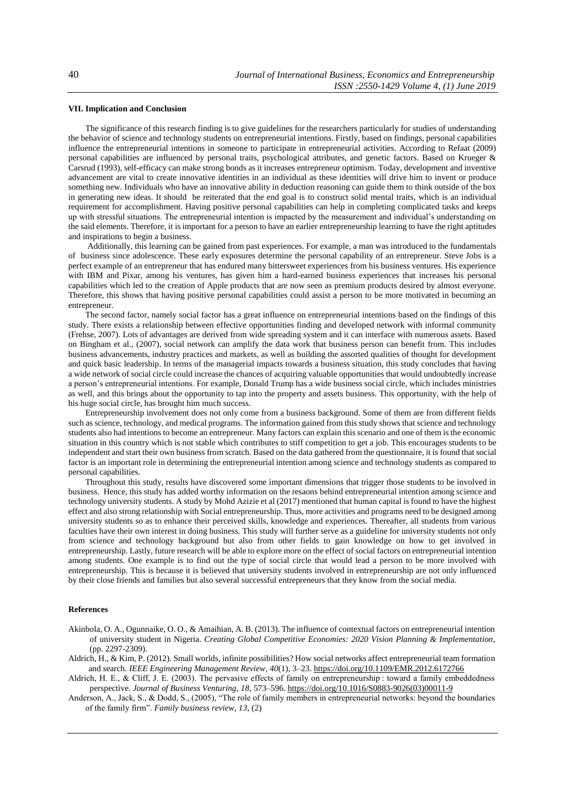## **VII. Implication and Conclusion**

The significance of this research finding is to give guidelines for the researchers particularly for studies of understanding the behavior of science and technology students on entrepreneurial intentions. Firstly, based on findings, personal capabilities influence the entrepreneurial intentions in someone to participate in entrepreneurial activities. According to Refaat (2009) personal capabilities are influenced by personal traits, psychological attributes, and genetic factors. Based on Krueger & Carsrud (1993), self-efficacy can make strong bonds as it increases entrepreneur optimism. Today, development and inventive advancement are vital to create innovative identities in an individual as these identities will drive him to invent or produce something new. Individuals who have an innovative ability in deduction reasoning can guide them to think outside of the box in generating new ideas. It should be reiterated that the end goal is to construct solid mental traits, which is an individual requirement for accomplishment. Having positive personal capabilities can help in completing complicated tasks and keeps up with stressful situations. The entrepreneurial intention is impacted by the measurement and individual's understanding on the said elements. Therefore, it is important for a person to have an earlier entrepreneurship learning to have the right aptitudes and inspirations to begin a business.

Additionally, this learning can be gained from past experiences. For example, a man was introduced to the fundamentals of business since adolescence. These early exposures determine the personal capability of an entrepreneur. Steve Jobs is a perfect example of an entrepreneur that has endured many bittersweet experiences from his business ventures. His experience with IBM and Pixar, among his ventures, has given him a hard-earned business experiences that increases his personal capabilities which led to the creation of Apple products that are now seen as premium products desired by almost everyone. Therefore, this shows that having positive personal capabilities could assist a person to be more motivated in becoming an entrepreneur.

The second factor, namely social factor has a great influence on entrepreneurial intentions based on the findings of this study. There exists a relationship between effective opportunities finding and developed network with informal community (Frehse, 2007). Lots of advantages are derived from wide spreading system and it can interface with numerous assets. Based on Bingham et al., (2007), social network can amplify the data work that business person can benefit from. This includes business advancements, industry practices and markets, as well as building the assorted qualities of thought for development and quick basic leadership. In terms of the managerial impacts towards a business situation, this study concludes that having a wide network of social circle could increase the chances of acquiring valuable opportunities that would undoubtedly increase a person's entrepreneurial intentions. For example, Donald Trump has a wide business social circle, which includes ministries as well, and this brings about the opportunity to tap into the property and assets business. This opportunity, with the help of his huge social circle, has brought him much success.

Entrepreneurship involvement does not only come from a business background. Some of them are from different fields such as science, technology, and medical programs. The information gained from this study shows that science and technology students also had intentions to become an entrepreneur. Many factors can explain this scenario and one of them is the economic situation in this country which is not stable which contributes to stiff competition to get a job. This encourages students to be independent and start their own business from scratch. Based on the data gathered from the questionnaire, it is found that social factor is an important role in determining the entrepreneurial intention among science and technology students as compared to personal capabilities.

Throughout this study, results have discovered some important dimensions that trigger those students to be involved in business. Hence, this study has added worthy information on the resaons behind entrepreneurial intention among science and technology university students. A study by Mohd Azizie et al (2017) mentioned that human capital is found to have the highest effect and also strong relationship with Social entrepreneurship. Thus, more activities and programs need to be designed among university students so as to enhance their perceived skills, knowledge and experiences. Thereafter, all students from various faculties have their own interest in doing business. This study will further serve as a guideline for university students not only from science and technology background but also from other fields to gain knowledge on how to get involved in entrepreneurship. Lastly, future research will be able to explore more on the effect of social factors on entrepreneurial intention among students. One example is to find out the type of social circle that would lead a person to be more involved with entrepreneurship. This is because it is believed that university students involved in entrepreneurship are not only influenced by their close friends and families but also several successful entrepreneurs that they know from the social media.

## **References**

- Akinbola, O. A., Ogunnaike, O. O., & Amaihian, A. B. (2013). The influence of contextual factors on entrepreneurial intention of university student in Nigeria. *Creating Global Competitive Economies: 2020 Vision Planning & Implementation*, (pp. 2297-2309).
- Aldrich, H., & Kim, P. (2012). Small worlds, infinite possibilities? How social networks affect entrepreneurial team formation and search. *IEEE Engineering Management Review*, *40*(1), 3–23[. https://doi.org/10.1109/EMR.2012.6172766](https://doi.org/10.1109/EMR.2012.6172766)
- Aldrich, H. E., & Cliff, J. E. (2003). The pervasive effects of family on entrepreneurship : toward a family embeddedness perspective. *Journal of Business Venturing*, *18*, 573–596[. https://doi.org/10.1016/S0883-9026\(03\)00011-9](https://doi.org/10.1016/S0883-9026(03)00011-9)

Anderson, A., Jack, S., & Dodd, S., (2005), "The role of family members in entrepreneurial networks: beyond the boundaries of the family firm". *Family business review, 13,* (2)